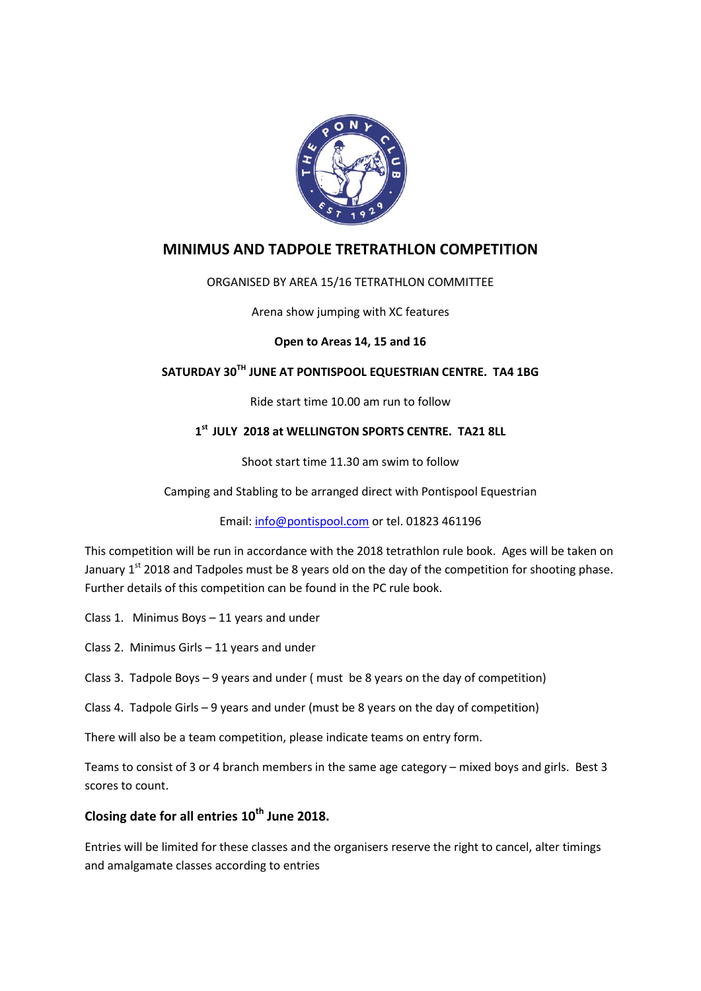

# **MINIMUS AND TADPOLE TRETRATHLON COMPETITION**

#### ORGANISED BY AREA 15/16 TETRATHLON COMMITTEE

#### Arena show jumping with XC features

#### **Open to Areas 14, 15 and 16**

# **SATURDAY 30TH JUNE AT PONTISPOOL EQUESTRIAN CENTRE. TA4 1BG**

Ride start time 10.00 am run to follow

#### **1 st JULY 2018 at WELLINGTON SPORTS CENTRE. TA21 8LL**

Shoot start time 11.30 am swim to follow

Camping and Stabling to be arranged direct with Pontispool Equestrian

Email[: info@pontispool.com](mailto:info@pontispool.com) or tel. 01823 461196

This competition will be run in accordance with the 2018 tetrathlon rule book. Ages will be taken on January  $1<sup>st</sup>$  2018 and Tadpoles must be 8 years old on the day of the competition for shooting phase. Further details of this competition can be found in the PC rule book.

Class 1. Minimus Boys – 11 years and under

Class 2. Minimus Girls – 11 years and under

Class 3. Tadpole Boys – 9 years and under ( must be 8 years on the day of competition)

Class 4. Tadpole Girls – 9 years and under (must be 8 years on the day of competition)

There will also be a team competition, please indicate teams on entry form.

Teams to consist of 3 or 4 branch members in the same age category – mixed boys and girls. Best 3 scores to count.

#### **Closing date for all entries 10th June 2018.**

Entries will be limited for these classes and the organisers reserve the right to cancel, alter timings and amalgamate classes according to entries